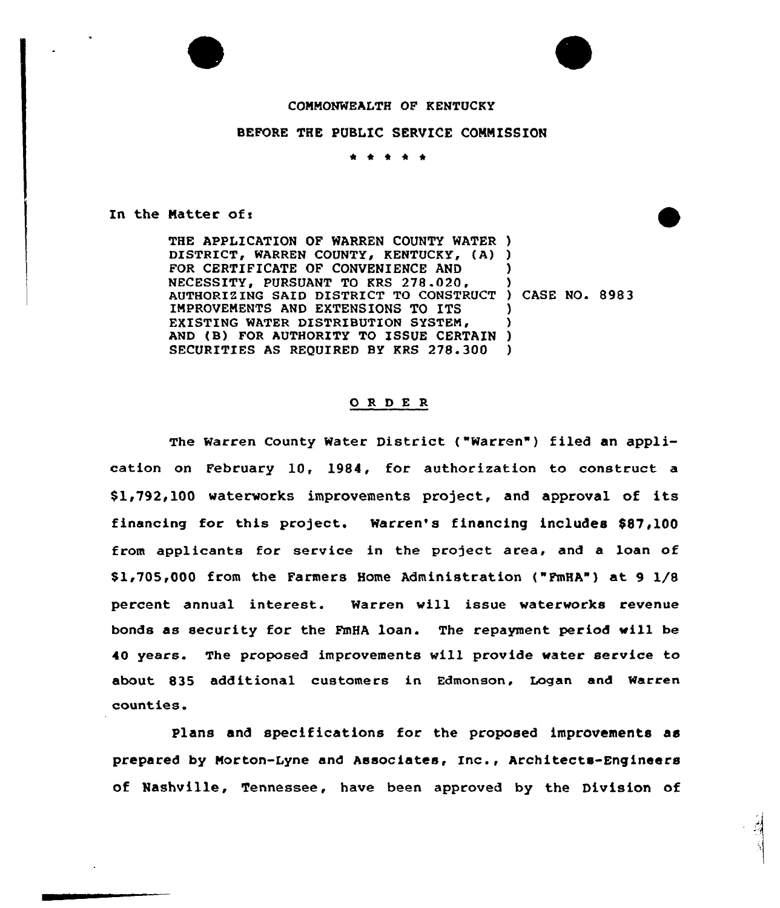



## COMMONWEALTH OF KENTUCKY

## BEFORE THE PUBLIC SERVICE CONNISSION

 $\begin{array}{cccccccccccccc} \bullet & \bullet & \bullet & \bullet & \bullet & \bullet \end{array}$ 

In the Matter of i

THE APPLICATION OF WARREN COUNTY WATER ) DISTRICT, WARREN COUNTY, KENTUCKY, (A) ) FOR CERTIFICATE QF CONVENIENCE AND NECESSITY. PURSUANT TO KRS 278.020. URSUANT TO KRS 278.020, )<br>SAID DISTRICT TO CONSTRUCT ) CASE NO. 8983 IMPROVEMENTS AND EXTENSIONS TO ITS EXISTING WATER DISTRIBUTION SYSTEM. EXISTING WATER DISTRIBUTION SYSTEM, )<br>AND (B) FOR AUTHORITY TO ISSUE CERTAIN ) SECURITIES AS REQUIRED BY KRS 2?8.300 ) ) ) )

## ORDER

The Warren County Water District ("Warren") filed an application on February 10, 1984, for authorization to construct a \$1,792,100 waterworks improvements project, and approval of its financing for this project. Warren's financing includes \$87,100 from applicants for service in the project area, and a loan of \$1,705,000 from the Farmers Home Administration ("FmHA") at 9 1/8 percent annual interest. Warren will issue waterworks revenue bonds as security for the FmHA loan. The repayment period «ill be 40 years. The proposed improvements will provide water service to about 835 additional customers in Edmonson, Logan and Warren counties.

Plans and specifications for the proposed improvements as prepared by Morton-Lyne and Associates, Inc., Architects-Engineers of Nashville, Tennessee, have been approved by the Division of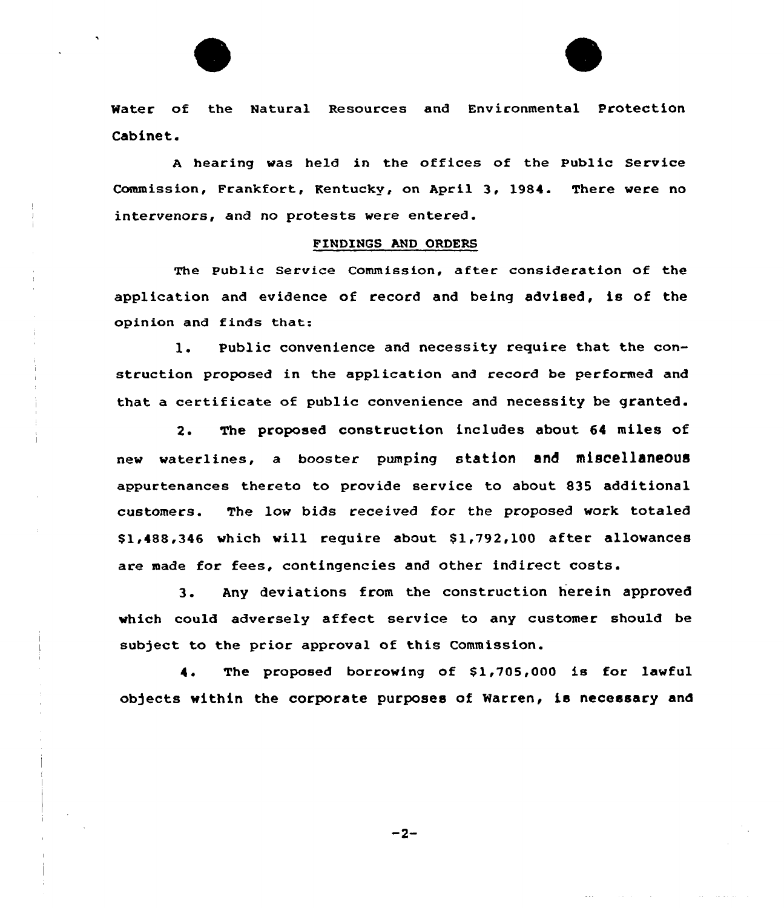



<sup>A</sup> hearing was held in the offices of the Public Service Commission, Frankfort, Kentucky, on April 3, 1984. There were no intervenors, and no protests were entered.

## FINDINGS AND ORDERS

The public Service Commission, after consideration of the application and evidence of record and being advised, is of the opinion and finds that:

l. Public convenience and necessity require that the construction proposed in the application and record be performed and that a certificate of public convenience and necessity be granted.

2. The proposed construction includes about 64 miles of new waterlines, a booster pumping station and miscellaneous appurtenances thereto to provide service to about 835 additional customers. The low bids received for the proposed work totaled \$1,488,346 which will require about \$1,792,100 after allowances are made for fees, contingencies and other indirect costs.

3. Any deviations from the construction herein approved which could adversely affect service to any customer should be subject to the prior approval of this Commission.

4. The proposed borrowing of \$1,705,000 is for lawful ob)ects within the corporate purposes of Warren, is necessary and

 $-2-$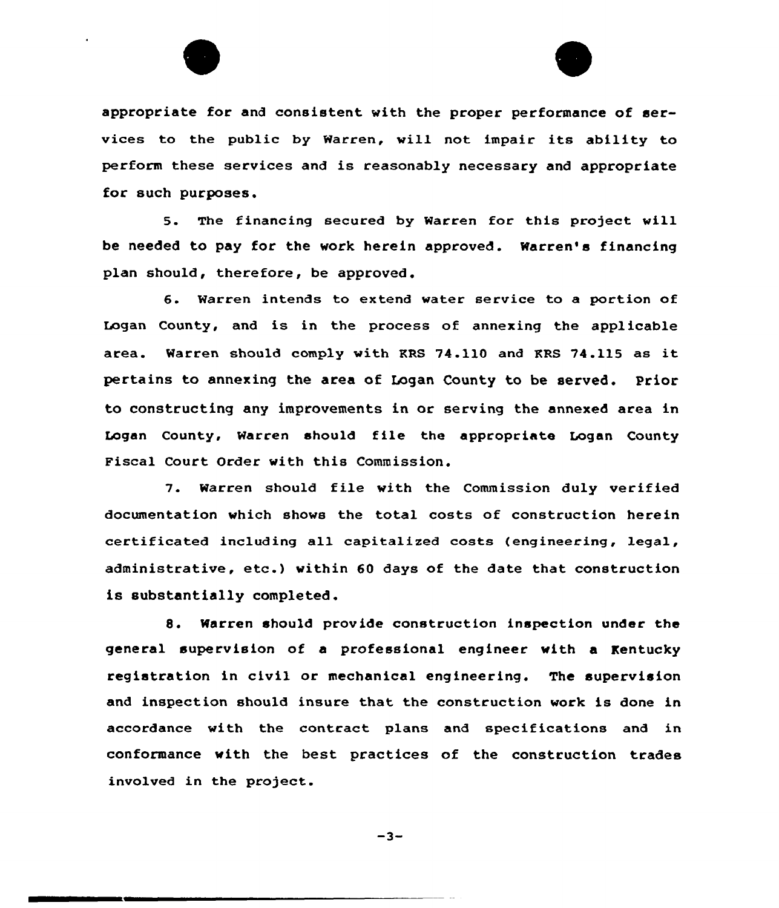

appropriate for and consistent with the proper performance of services to the public by Warren, will not impair its ability to perform these services and is reasonably necessary and appropriate for such purposes.

5. The financing secured by Warren for this project will be needed to pay for the work herein approved. Warren's financing plan should, therefore, be approved.

6. Warren intends to extend water service to a portion of Logan County, and is in the process of annexing the applicable area. Warren should comply with KRS 74.110 and RRS 74.115 as it pertains to annexing the area of Logan County to be served. Prior to constructing any improvements in or serving the annexed area in Logan County, Warren should file the appropriate Logan County Fiscal Court Order with this Commission.

7. Warren should file with the Commission duly verified documentation which shows the total costs of construction herein certificated including all capitalized costs (engineering, legal, administrative, etc.) within 60 days of the date that construction is substantially completed.

8. Warren should provide construction inspection under the general supervision of a professional engineer with a Kentucky registration in civil or mechanical engineering. The supervision and inspection should insure that the construction work is done in accordance with the contract plans and specifications and in conformance with the best practices of the construction trades involved in the project.

 $-3-$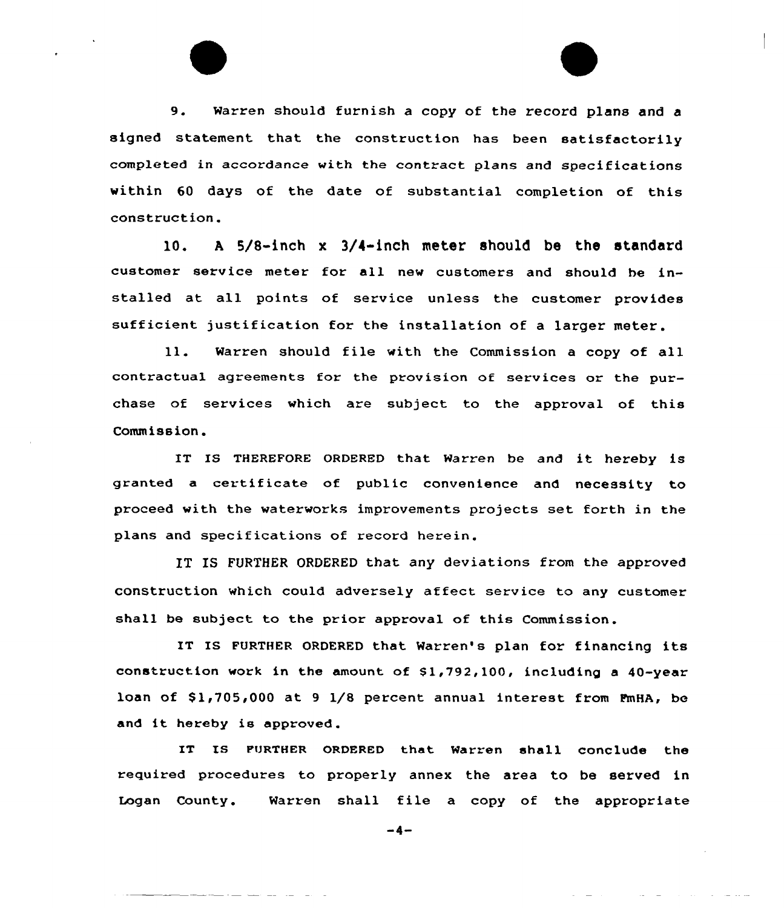9. Warren should furnish <sup>a</sup> copy of the record plans and <sup>a</sup> signed statement that the construction has been satisfactorily completed in accordance with the contract plans and specifications within 60 days of the date of substantial completion of this construction.

10. A 5/8-inch x 3/4-inch meter should be the standard customer service meter for all new customers and should he installed at all points of service unless the customer provides sufficient justification for the installation of a larger meter.

ll. warren should file with the Commission <sup>a</sup> copy of all contractual agreements for the provision of services or the purchase of services which are subject to the approval of this Commission .

IT IS THEREFORE ORDERED that Warren be and it hereby is granted <sup>a</sup> certificate of public convenience and necessity to proceed with the waterworks improvements projects set forth in the plans and specifications of record herein.

IT IS FURTHER ORDERED that any deviations from the approved construction which could adversely affect service to any customer shall be subject to the prior approval of this Commission.

IT IS FuRTHER ORDERED that Warren's plan for financing its construction work in the amount of S1,792,100, including a 40-year loan of  $$1,705,000$  at 9  $1/8$  percent annual interest from PmHA, be and it hereby is approved.

IT IS FURTHER ORDERED that Warren shall conclude the required procedures to properly annex the area to be served in Logan County. Warren shall file a copy of the appropriate

 $-4-$ 

المدار الممار المسار المسار المستحققة

and the company of the company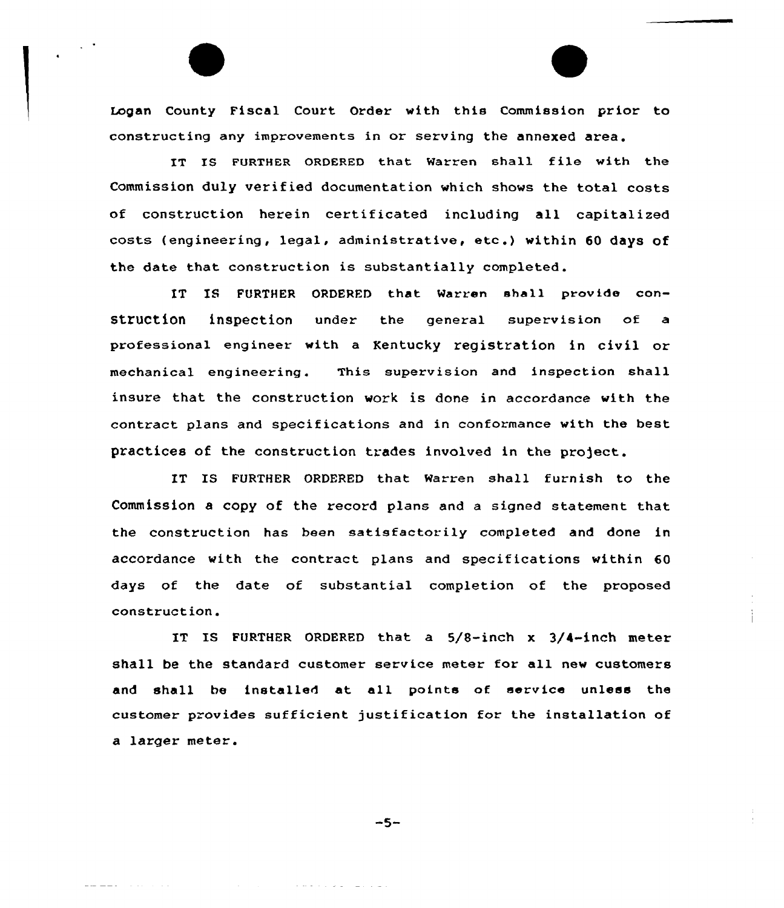Legan County Fiscal Court Order with this Commission prior to constructing any improvements in or serving the annexed area.

IT IS FURTHER ORDERED that Warren shall file with the Commission duly verified documentation which shows the total costs of construction herein certificated including all capitalized costs (engineering, legal, administrative, etc.) within <sup>60</sup> days of the date that construction is substantially completed.

IT IS FURTHER ORDERED that Warren shall provide construction inspection under the general supervision of a professional engineer with a Kentucky registration in civil or mechanical engineering. This supexvision and inspection shall insure that the construction work is done in accordance with the contract plans and specifications and in conformance with the best practices of the construction trades involved in the project.

IT IS FURTHER ORDERED that Warren shall furnish to the Commission a copy of the record plans and a signed statement that the construction has been satisfactorily completed and done in accordance with the contract plans and specifications within 60 days of the date of substantial completion of the proposed construction.

IT IS FURTHER ORDERED that a 5/8-inch x 3/4-inch meter shall be the standard customer service meter for all new customers and shall be installed at all points of service unless the customer provides sufficient justification for the installation of a larger meter.

 $-5-$ 

المتعادلات والمتواطئ

المتحدث والمحالي والمستشهد